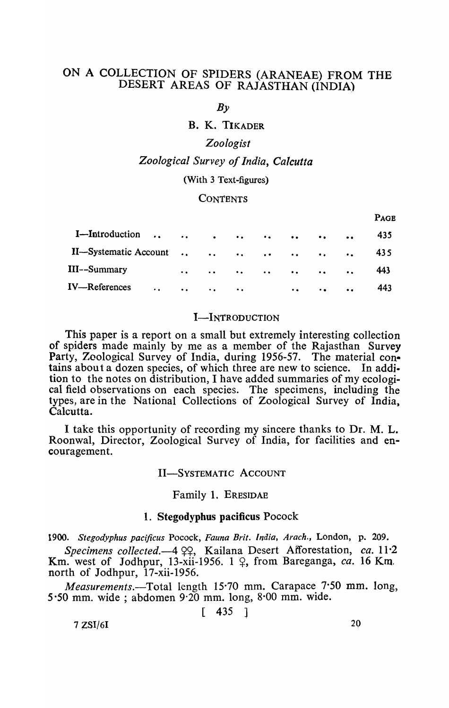# ON A COLLECTION OF SPIDERS (ARANEAE) FROM THE DESERT AREAS OF RAJASTHAN (INDIA)

 $Bv$ 

## B. K. TIKADER

## *Zoologist*

## *Zoological Survey of India, Calcutta*

### (With 3 Text-figures)

#### **CONTENTS**

|                      |                      |               |  |                                                  |                       |                  | PAGE           |
|----------------------|----------------------|---------------|--|--------------------------------------------------|-----------------------|------------------|----------------|
|                      |                      |               |  |                                                  |                       | $\bullet$        | 435            |
|                      |                      |               |  |                                                  |                       |                  | 435            |
|                      | $\ddot{\phantom{a}}$ |               |  |                                                  |                       | $\ddot{\bullet}$ | 443            |
| $\ddot{\phantom{a}}$ | $\bullet$ .          | $\sim$ $\sim$ |  | $\bullet$ $\bullet$                              | $\bullet$ $\bullet$ . | $\bullet$        | 443            |
|                      |                      |               |  | $\bullet$ $\bullet$ . The second state $\bullet$ |                       |                  | I-Introduction |

#### I-INTRODUCTION

This paper is a report on a small but extremely interesting collection of spiders made mainly by me as a member of the Rajasthan Survey Party, Zoological Survey of India, during 1956-57. The material contains about a dozen species, of which three are new to science. In addition to the notes on distribution, I have added summaries of my ecological field observations on each species. The specimens, including the types, are in the National Collections of Zoological Survey of India, Calcutta.

I take this opportunity of recording my sincere thanks to Dr. M. L. Roonwal, Director, Zoological Survey of India, for facilities and encouragement.

#### II-SYSTEMATIC ACCOUNT

#### Family 1. ERESIDAE

#### 1. Stegodyphus pacificus Pocock

*1900. Stegodyphus pacijicus* Pocock, *Fauna Brit.* India, *Arach.,* London, p. 209.

*Specimens collected.*-4  $QQ$ , Kailana Desert Afforestation, *ca.* 11.2 Km. west of Jodhpur, 13-xii-1956. 1  $\varphi$ , from Bareganga, *ca.* 16 Km. north of Jodhpur, 17-xii-1956.

*Measurements.*—Total length 15.70 mm. Carapace 7.50 mm. long, 5.50 mm. wide; abdomen  $9.20$  mm. long,  $8.00$  mm. wide.

 $\lceil$  435 ]

 $7 ZSI/6I$  20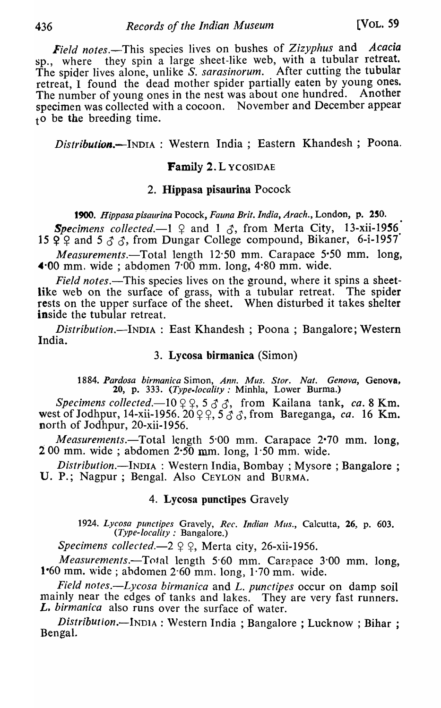*Field* notes.-This species lives on bushes of *Zizyphus* and *Acacia*  sp., where they spin a large sheet-like web, with a tubular retreat. The spider lives alone, unlike S. *sarasinorum.* After cutting the tubular retreat, I found the dead mother spider partially eaten by young ones. The number of young ones in the nest was about one hundred. Another specimen was collected with a cocoon. November and December appear  $t_0$  be the breeding time.

*Distribution.-INDIA* : Western India; Eastern Khandesh; Poona.

## Family 2. L YCOSIDAE

## 2. Hippasa pisaurina Pocock

*1900. Hippasa pisaurina* Pocock, *Fauna Brit. India, Arach.,* London, p. 150.

**Specimens** collected. $-1$   $\varphi$  and 1  $\varphi$ , from Merta City, 13-xii-1956 15  $Q$  2 and 5  $\sigma$   $\sigma$ , from Dungar College compound, Bikaner, 6-i-1957

*Measurements.*—Total length 12.50 mm. Carapace 5.50 mm. long,  $\triangleleft$  00 mm, wide; abdomen 7.00 mm. long, 4.80 mm. wide.

*Field notes*.—This species lives on the ground, where it spins a sheetlike web on the surface of grass, with a tubular retreat. The spider rests on the upper surface of the sheet. When disturbed it takes shelter inside the tubular retreat.

*Distribution.-INDIA* : East Khandesh ; Poona ; Bangalore; Western India.

## 3. Lycosa birmanica (Simon)

1884. Pardosa birmanica Simon, Ann. Mus. Stor. Nat. Genova, Genova, 20, p. 333. *(Type-locality:* Minhla, Lower Burma.)

*Specimens collected.*—10  $\varphi \varphi$ , 5  $\varphi$   $\varphi$ , from Kailana tank, *ca.* 8 Km. west of Jodhpur, 14-xii-1956. 20  $\varphi$   $\varphi$ ,  $\vec{5}$   $\vec{\sigma}$   $\vec{\sigma}$ , from Bareganga, *ca.* 16 Km. north of Jodhpur, 20-xii-1956.

*Measurements.*-Total length 5.00 mm. Carapace 2.70 mm. long,  $200$  mm. wide; abdomen  $2.50$  mm. long,  $1.50$  mm. wide.

*Distribution.-INDIA* : Western India, Bombay; Mysore ; Bangalore ; U. P.; Nagpur; Bengal. Also CEYLON and BURMA.

## 4. Lycosa punctipes Gravely

*1924. Lycosa punctipes* Gravely, *Rec. Indian Mus.,* Calcutta, 26, p. 603. *(Type-locality:* Bangalore.)

*Specimens collected.* $-2 \nsubseteq \mathbb{Q}$ , Merta city, 26-xii-1956.

*Measurements.*—Total length 5.60 mm. Carapace 3.00 mm. long, 1.60 mm. wide ; abdomen  $2.60$  mm. long,  $1.70$  mm. wide.

*field notes.-Lycosa birmanica* and *L. punctipes* occur on damp soil mainly near the edges of tanks and lakes. They are very fast runners. L. *birmanica* also runs over the surface of water.

*Distribution.*--INDIA : Western India; Bangalore; Lucknow; Bihar; Bengal..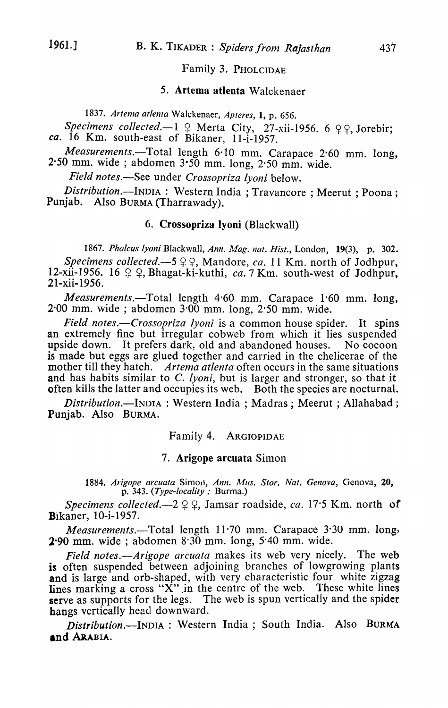#### Family 3. PHOLCIDAE

### 5. Artema atlenta Walckenaer

1837. Artema atlenta Walckenaer, Apteres, 1, p. 656.

*Specimens collected.*—1  $\varphi$  Merta City, 27-xii-1956. 6  $\varphi \varphi$ , Jorebir; *ca.* 16 Km. south-east of Bikaner, l1-i-1957.

*Measurements.*-Total length 6.10 mm. Carapace 2.60 mm. long, 2.50 mm. wide; abdomen  $3.50$  mm. long,  $2.50$  mm. wide.

*Field notes.-See* under *Crossopriza /yoni* below.

*Distribution.*--INDIA : Western India; Travancore; Meerut; Poona; Punjab. Also BURMA (Tharrawady).

### 6. Crossopriza Jyoni (Blackwall)

*1867. Pholcus lyoni* Blackwall, *Ann.* Afag. *nat. Hist.,* London, 19(3), p\_ 302. *Specimens collected.*-5  $99$ , Mandore, *ca.* 11 Km. north of Jodhpur, 12-xii-1956. 16 9 9, Bhagat-ki-kuthi, *ca.* 7 Km. south-west of Jodhpur, 21-xii-1956.

*Measurements.-Total* length 4'60 mm. Carapace 1'60 mm, long,  $2.00$  mm. wide; abdomen  $3.00$  mm. long,  $2.50$  mm. wide.

*Field notes.—Crossopriza lyoni* is a common house spider. It spins an extremely fine but irregular cobweb from which it lies suspended upside down. It prefers dark, old and abandoned houses. No cocoon is made but eggs are glued together and carried in the chelicerae of the mother till they hatch. *Artema atlenta* often occurs in the same situations and has habits similar to *C. lyoni*, but is larger and stronger, so that it often kills the latter and occupies its web. Both the species are nocturnal.

*Distribution.-INDIA* : Western India; Madras; Meerut; Allahabad; Punjab. Also BURMA.

Family 4. ARGIOPIDAE

#### 7. Arigope arcuata Simon

1884. *Arigope arcuata* Simon, *Ann. Mus. Stor. Nat. Genova*, Genova, 20, p. 343. *(Type-locality:* Burma.)

*Specimens collected.*-2  $9 \,$ 9, Jamsar roadside, *ca.* 17'5 Km. north of Bikaner, 10-i-1957.

*Measurements.-Total* length 11·70 mm. Carapace 3'30 mm. long, 2-90 mm. wide; abdomen 8'30 mm. long, 5'40 mm. wide.

*Field notes.--Arigope arcuata* makes its web very nicely. The web is often suspended between adjoining branches of lowgrowing plants and is large and orb-shaped, with very characteristic four white zigzag lines marking a cross "X" in the centre of the web. These white lines serve as supports for the legs. The web is spun vertically and the spider hangs vertically head downward.

*Distribution.-INDIA* : Western India; South India. Also BURMA and ARABIA.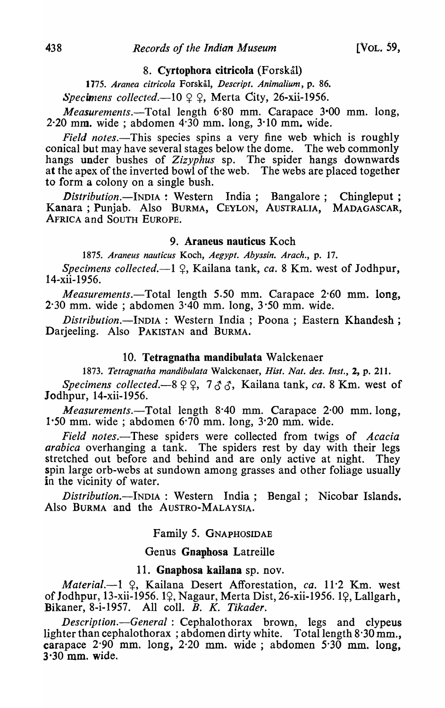#### 8. Cyrtophora citricola (Forskål)

*1775. Aranea eltrieola* Forskal, *Deseript. Animalium,* p. 86.

 $Spec$ *imens collected.*—10  $\varphi$   $\varphi$ , Merta City, 26-xii-1956.

*Measurements.*-Total length 6.80 mm. Carapace 3.00 mm. long,  $2.20$  mm. wide; abdomen  $4.30$  mm. long,  $3.10$  mm. wide.

*Field notes.*—This species spins a very fine web which is roughly conical but may have several stages below the dome. The web commonly hangs under bushes of *Zizyphus* sp. The spider hangs downwards at the apex of the inverted bowl of the web. The webs are placed together to form a colony on a single bush.

*Distribution.*--INDIA : Western India; Bangalore; Chingleput; Kanara ; Punjab. Also BURMA, CEYLON, AUSTRALIA, MADAGASCAR, AFRICA and SOUTH EUROPE.

#### 9. Araneus nauticus Koch

*1875. Araneus nautleus* Koch, *A egypt. Abyssin. Araeh.,* p. 17.

*Specimens collected.*-1 <del>2</del>, Kailana tank, *ca.* 8 Km. west of Jodhpur, 14-xii-1956.

*Measurements.-Total* length 5.50 mm. Carapace 2'60 mm. long,  $2.30$  mm. wide; abdomen  $3.40$  mm. long,  $3.50$  mm. wide.

*Distribution.-INDIA* : Western India; Poona ; Eastern Khandesh ; Darjeeling. Also PAKISTAN and BURMA.

## 10. Tetragnatha mandibulata Walckenaer

*1873. Tetragnatha mandibulata* Walckenaer, *Hisl. Nat. des. Inst.,* 2, p. 211.

*Specimens collected.*-8 9 9, 7 3 3, Kailana tank, *ca.* 8 Km. west of Jodhpur, 14-xii-1956.

*Measurements.-Total* length 8·40 mm. Carapace 2·00 mm. long, 1·50 mm. wide; abdomen 6'70 mm. long, 3·20 mm. wide.

*Field notes.-These* spiders were collected from twigs of *Acacia arabica* overhanging a tank. The spiders rest by day with their legs stretched out before and behind and are only active at night. They spin large orb-webs at sundown among grasses and other foliage usually in the vicinity of water.

*Distribution.*--INDIA : Western India; Bengal; Nicobar Islands. Also BURMA -and the AUSTRO-MALAYSIA.

### Family 5. GNAPHOSIDAE

## Genus Gnaphosa Latreille

## 11. Gnapbosa kailana sp. nov.

*Material.*-1 9, Kailana Desert Afforestation, *ca.* 11.2 Km. west of Jodhpur, 13-xii-1956. 19, Nagaur, Merta Dist, 26-xii-1956. 19, Lallgarh, Bikaner, 8-i-1957. All colI. B. K. *Tikader.* 

*Description.-General* : Cephalothorax brown, legs and clypeus lighter than cephalothorax; abdomen dirty white. Total length 8.30 mm., carapace 2-90 mm. long, 2·20 mm. wide; abdomen 5'30 mm. long,  $3.30$  mm. wide.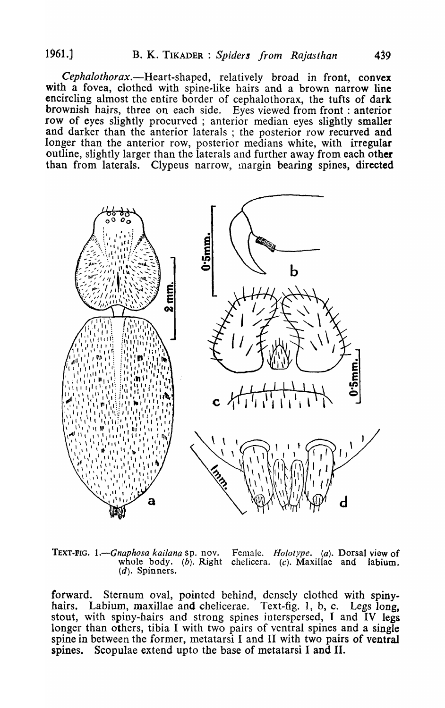*Cephalothorax.-Heart-shaped,* relatively broad in front, convex with a fovea, clothed with spine-like hairs and a brown narrow line encircling almost the entire border of cephalothorax, the tufts of dark brownish hairs, three on each side. Eyes viewed from front : anterior row of eyes slightly procurved ; anterior median eyes slightly smaller and darker than the anterior laterals ; the posterior row recurved and longer than the anterior row, posterior medians white, with irregular outline, slightly larger than the laterals and further away from each other than from laterals. Clypeus narrow, Inargin bearing spines, directed



TEXT-FIG. 1.—*Gnaphosa kailana* sp. nov. Female. *Holotype. (a)*. Dorsal view of whole body. (b). Right chelicera. (c). Maxillae and labium. chelicera. (c). Maxillae and labium.  $(d)$ . Spinners.

forward. Sternum oval, pointed behind, densely clothed with spinyhairs. Labium, maxillae and chelicerae. Text-fig. 1, b, c. Legs long. stout, with spiny-hairs and strong spines interspersed, I and IV legs longer than others, tibia I with two pairs of ventral spines and a single spine in between the former, metatarsi I and II with two pairs of ventral spines. Scopulae extend upto the base of metatarsi I and II.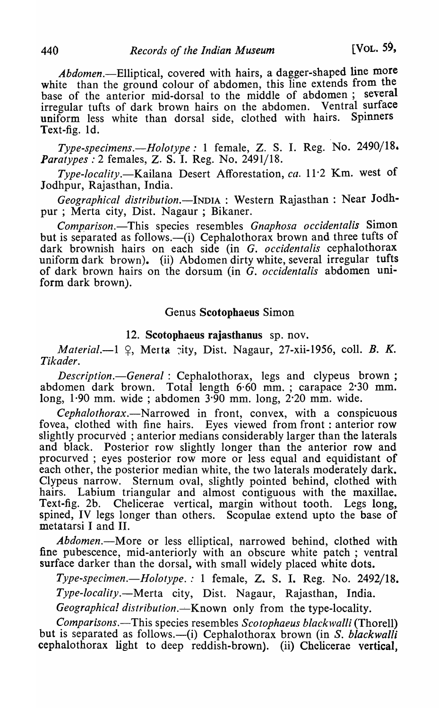*Abdomen.-Elliptical,* covered with hairs, a dagger-shaped line more white than the ground colour of abdomen, this line extends from the base of the anterior mid-dorsal to the middle of abdomen; several irregular tufts of dark brown hairs on the abdomen. Ventral surface uniform less white than dorsal side, clothed with hairs. Spinners Text-fig. Id.

*Type-specimens.-Holotype:* I female, Z. S. I. Reg. 'No. 2490/18, *Paratypes* : 2 females, Z. S. I. Reg. No. 2491/18.

*Type-locality.-Kailana* Desert Afforestation, *ca.* 11·2 Km. west of Jodhpur, Rajasthan, India.

*Geographical distribution.-INDIA* : Western Rajasthan: Near Jodhpur; Merta city, Dist. Nagaur ; Bikaner.

*Comparison.-This* species resembles *Gnaphosa occidentalis* Simon but is separated as follows.—(i) Cephalothorax brown and three tufts of dark brownish hairs on each side (in G. *occidentalis* cephalothorax uniform dark brown). (ii) Abdomen dirty white, several irregular tufts of dark brown hairs on the dorsum (in G. *occidentalis* abdomen uniform dark brown).

### Genus Scotophaeus Simon

#### 12. Scotophaeus rajasthanus sp. nov.

*Material.*-1  $\Omega$ , Merta *rity*, Dist. Nagaur, 27-xii-1956, coll. *B. K. Tikader.* 

*Description.-General* : Cephalothorax, legs and clypeus brown; abdomen dark brown. Total length 6·60 mm. ; carapace 2·30 mm. long, 1·90 mm. wide; abdomen 3·90 mm. long, 2·20 mm. wide.

*Cephalothorax.-Narrowed* in front, convex, with a conspicuous fovea, clothed with fine hairs. Eyes viewed from front: anterior row slightly procurved ; anterior medians considerably larger than the laterals and black. Posterior row slightly longer than the anterior row and procurved ; eyes posterior row more or less equal and equidistant of each other, the posterior median white, the two laterals moderately dark. Clypeus narrow. Sternum oval, slightly pointed behind, clothed with hairs. Labium triangular and almost contiguous with the maxillae. Text-fig. 2b. Chelicerae vertical, margin without tooth. Legs long, spined, IV legs longer than others. Scopulae extend upto the base of metatarsi I and II.

Abdomen.-More or less elliptical, narrowed behind, clothed with fine pubescence, mid-anteriorly with an obscure white patch; ventral surface darker than the dorsal, with small widely placed white dots.

*Type-specimen.-Holotype.:* 1 female, Z. S. I. Reg. No. 2492/18. *Type-locality.-Merta* city, Dist. Nagaur, Rajasthan, India. *Geographical distribution.*—*Known only from the type-locality.* 

*Comparisons.*—This species resembles *Scotophaeus blackwalli* (Thorell) but is separated as follows.—(i) Cephalothorax brown (in S. *blackwalli* cephalothorax light to deep reddish-brown). (ii) Chelicerae vertical,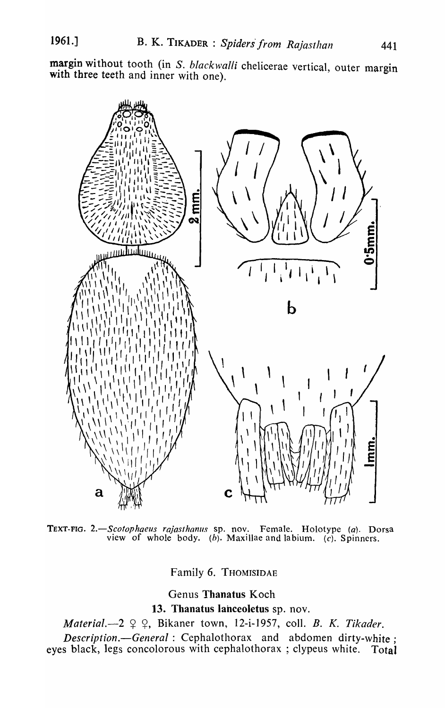margin without tooth (in S. blackwalli chelicerae vertical, outer margin with three teeth and inner with one).



TEXT-FIG. *2.-Scotophaeus rajasthanlls* sp. nov. Female. Holotype *(a).* Dorsa view of whole body. (b). Maxillae and labium. (c). Spinners.

Family 6. THOMISIDAE

Genus Thanatus Koch

13. Thanatus lanceoletus sp. nov.

*Material.*-2  $9$   $9$ , Bikaner town, 12-i-1957, coll. B. K. Tikader.

*Descripfion.-General* : Cephalothorax and abdomen dirty-white; eyes black, legs concolorous with cephalothorax ; clypeus white. Total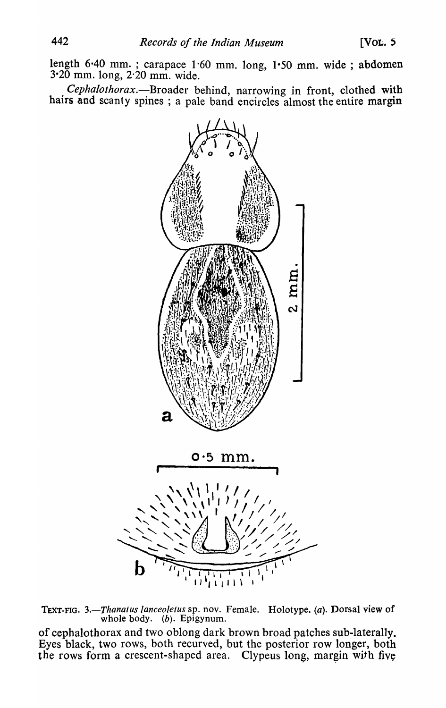length 6'40 mm. ; carapace 1'60 mm. long, I-SO mm. wide; abdomen 3-20 mm. long, 2'20 mm. wide.

*Cephalothorax.-Broader* behind, narrowing in front, clothed with hairs and scanty spines; a pale band encircles almost the entire margin



TEXT-FIG. 3.-Thanatus lanceoletus sp. nov. Female. Holotype. (a). Dorsal view of whole body.  $(b)$ . Epigynum.

of cephalothorax and two oblong dark brown broad patches sub-laterally\_ Eyes black, two rows, both recurved, but the posterior row longer, both the rows form a crescent-shaped area. Clypeus long, margin with five